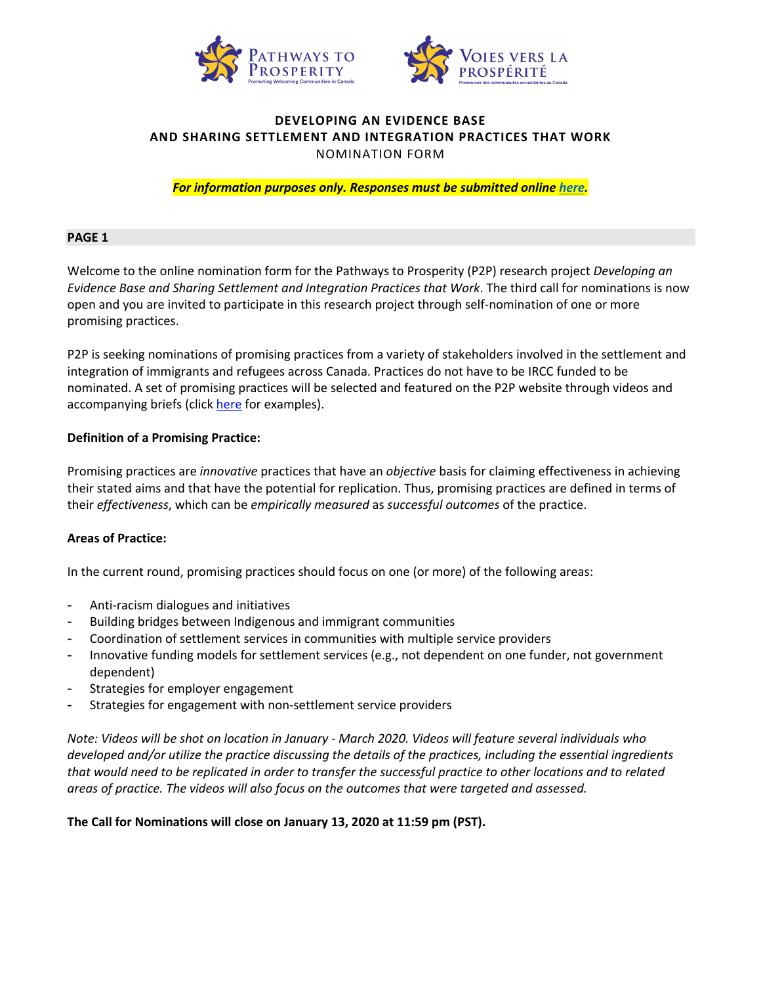



# **DEVELOPING AN EVIDENCE BASE AND SHARING SETTLEMENT AND INTEGRATION PRACTICES THAT WORK** NOMINATION FORM

*For information purposes only. Responses must be submitted online [here.](https://uwopsych.eu.qualtrics.com/jfe/form/SV_2ipXdYLf96LDHmt)*

## **PAGE 1**

Welcome to the online nomination form for the Pathways to Prosperity (P2P) research project *Developing an Evidence Base and Sharing Settlement and Integration Practices that Work*. The third call for nominations is now open and you are invited to participate in this research project through self-nomination of one or more promising practices.

P2P is seeking nominations of promising practices from a variety of stakeholders involved in the settlement and integration of immigrants and refugees across Canada. Practices do not have to be IRCC funded to be nominated. A set of promising practices will be selected and featured on the P2P website through videos and accompanying briefs (click [here](http://p2pcanada.ca/promising-practices/category/sharing-settlement-and-integration-practices-that-work/) for examples).

#### **Definition of a Promising Practice:**

Promising practices are *innovative* practices that have an *objective* basis for claiming effectiveness in achieving their stated aims and that have the potential for replication. Thus, promising practices are defined in terms of their *effectiveness*, which can be *empirically measured* as *successful outcomes* of the practice.

## **Areas of Practice:**

In the current round, promising practices should focus on one (or more) of the following areas:

- Anti-racism dialogues and initiatives
- Building bridges between Indigenous and immigrant communities
- Coordination of settlement services in communities with multiple service providers
- Innovative funding models for settlement services (e.g., not dependent on one funder, not government dependent)
- Strategies for employer engagement
- Strategies for engagement with non-settlement service providers

*Note: Videos will be shot on location in January - March 2020. Videos will feature several individuals who developed and/or utilize the practice discussing the details of the practices, including the essential ingredients that would need to be replicated in order to transfer the successful practice to other locations and to related areas of practice. The videos will also focus on the outcomes that were targeted and assessed.* 

## **The Call for Nominations will close on January 13, 2020 at 11:59 pm (PST).**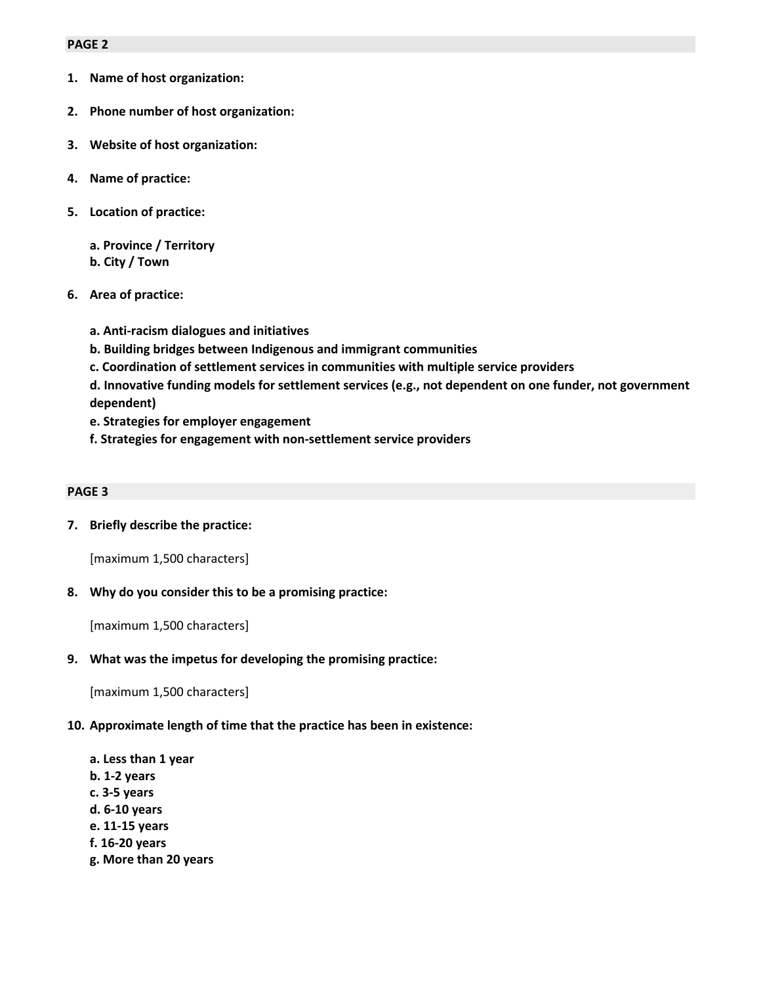## **PAGE 2**

- **1. Name of host organization:**
- **2. Phone number of host organization:**
- **3. Website of host organization:**
- **4. Name of practice:**
- **5. Location of practice:**

**a. Province / Territory b. City / Town**

- **6. Area of practice:**
	- **a. Anti-racism dialogues and initiatives**
	- **b. Building bridges between Indigenous and immigrant communities**
	- **c. Coordination of settlement services in communities with multiple service providers**
	- **d. Innovative funding models for settlement services (e.g., not dependent on one funder, not government dependent)**
	- **e. Strategies for employer engagement**
	- **f. Strategies for engagement with non-settlement service providers**

#### **PAGE 3**

**7. Briefly describe the practice:**

[maximum 1,500 characters]

**8. Why do you consider this to be a promising practice:**

[maximum 1,500 characters]

**9. What was the impetus for developing the promising practice:**

[maximum 1,500 characters]

## **10. Approximate length of time that the practice has been in existence:**

- **a. Less than 1 year b. 1-2 years c. 3-5 years d. 6-10 years e. 11-15 years f. 16-20 years**
- **g. More than 20 years**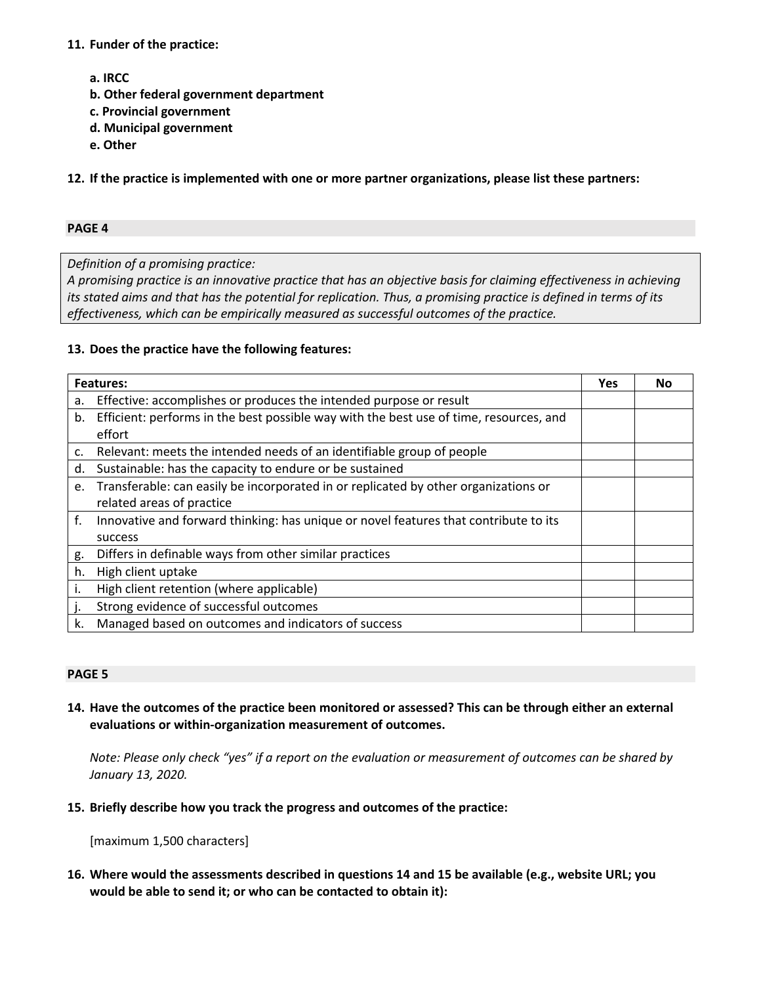## **11. Funder of the practice:**

- **a. IRCC**
- **b. Other federal government department**
- **c. Provincial government**
- **d. Municipal government**
- **e. Other**

**12. If the practice is implemented with one or more partner organizations, please list these partners:**

## **PAGE 4**

*Definition of a promising practice:*

*A promising practice is an innovative practice that has an objective basis for claiming effectiveness in achieving its stated aims and that has the potential for replication. Thus, a promising practice is defined in terms of its effectiveness, which can be empirically measured as successful outcomes of the practice.*

# **13. Does the practice have the following features:**

| <b>Features:</b> |                                                                                        | Yes | Nο |
|------------------|----------------------------------------------------------------------------------------|-----|----|
| a.               | Effective: accomplishes or produces the intended purpose or result                     |     |    |
| b.               | Efficient: performs in the best possible way with the best use of time, resources, and |     |    |
|                  | effort                                                                                 |     |    |
| c.               | Relevant: meets the intended needs of an identifiable group of people                  |     |    |
| d.               | Sustainable: has the capacity to endure or be sustained                                |     |    |
| e.               | Transferable: can easily be incorporated in or replicated by other organizations or    |     |    |
|                  | related areas of practice                                                              |     |    |
| f.               | Innovative and forward thinking: has unique or novel features that contribute to its   |     |    |
|                  | success                                                                                |     |    |
| g.               | Differs in definable ways from other similar practices                                 |     |    |
| h.               | High client uptake                                                                     |     |    |
| Ι.               | High client retention (where applicable)                                               |     |    |
|                  | Strong evidence of successful outcomes                                                 |     |    |
| k.               | Managed based on outcomes and indicators of success                                    |     |    |

## **PAGE 5**

**14. Have the outcomes of the practice been monitored or assessed? This can be through either an external evaluations or within-organization measurement of outcomes.**

*Note: Please only check "yes" if a report on the evaluation or measurement of outcomes can be shared by January 13, 2020.*

## **15. Briefly describe how you track the progress and outcomes of the practice:**

[maximum 1,500 characters]

**16. Where would the assessments described in questions 14 and 15 be available (e.g., website URL; you would be able to send it; or who can be contacted to obtain it):**